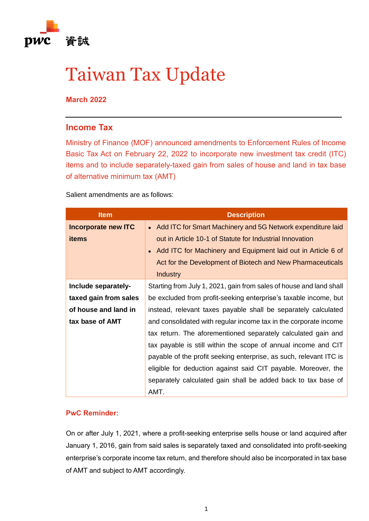

# Taiwan Tax Update

**March 2022**

## **Income Tax**

Ministry of Finance (MOF) announced amendments to Enforcement Rules of Income Basic Tax Act on February 22, 2022 to incorporate new investment tax credit (ITC) items and to include separately-taxed gain from sales of house and land in tax base of alternative minimum tax (AMT)

## Salient amendments are as follows:

| <b>Item</b>                | <b>Description</b>                                                        |
|----------------------------|---------------------------------------------------------------------------|
| <b>Incorporate new ITC</b> | • Add ITC for Smart Machinery and 5G Network expenditure laid             |
| <b>items</b>               | out in Article 10-1 of Statute for Industrial Innovation                  |
|                            | Add ITC for Machinery and Equipment laid out in Article 6 of<br>$\bullet$ |
|                            | Act for the Development of Biotech and New Pharmaceuticals                |
|                            | <b>Industry</b>                                                           |
| Include separately-        | Starting from July 1, 2021, gain from sales of house and land shall       |
| taxed gain from sales      | be excluded from profit-seeking enterprise's taxable income, but          |
| of house and land in       | instead, relevant taxes payable shall be separately calculated            |
| tax base of AMT            | and consolidated with regular income tax in the corporate income          |
|                            | tax return. The aforementioned separately calculated gain and             |
|                            | tax payable is still within the scope of annual income and CIT            |
|                            | payable of the profit seeking enterprise, as such, relevant ITC is        |
|                            | eligible for deduction against said CIT payable. Moreover, the            |
|                            | separately calculated gain shall be added back to tax base of             |
|                            | AMT.                                                                      |

## **PwC Reminder:**

On or after July 1, 2021, where a profit-seeking enterprise sells house or land acquired after January 1, 2016, gain from said sales is separately taxed and consolidated into profit-seeking enterprise's corporate income tax return, and therefore should also be incorporated in tax base of AMT and subject to AMT accordingly.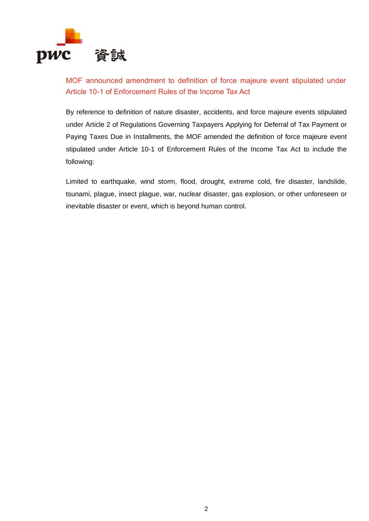

MOF announced amendment to definition of force majeure event stipulated under Article 10-1 of Enforcement Rules of the Income Tax Act

By reference to definition of nature disaster, accidents, and force majeure events stipulated under Article 2 of Regulations Governing Taxpayers Applying for Deferral of Tax Payment or Paying Taxes Due in Installments, the MOF amended the definition of force majeure event stipulated under Article 10-1 of Enforcement Rules of the Income Tax Act to include the following:

Limited to earthquake, wind storm, flood, drought, extreme cold, fire disaster, landslide, tsunami, plague, insect plague, war, nuclear disaster, gas explosion, or other unforeseen or inevitable disaster or event, which is beyond human control.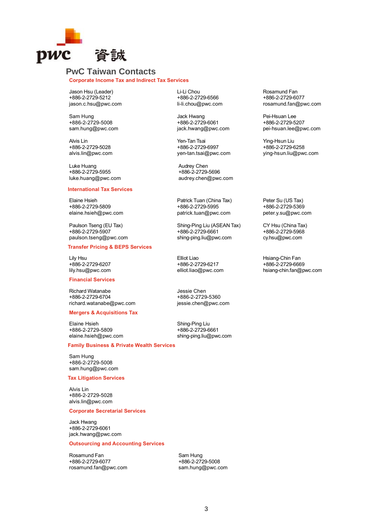

### **PwC Taiwan Contacts**

**Corporate Income Tax and Indirect Tax Services**

Jason Hsu (Leader) +886-2-2729-5212 jason.c.hsu@pwc.com

Sam Hung +886-2-2729-5008 sam.hung@pwc.com

Alvis Lin +886-2-2729-5028 alvis.lin@pwc.com

Luke Huang +886-2-2729-5955 luke.huang@pwc.com

#### **International Tax Services**

Elaine Hsieh +886-2-2729-5809 elaine.hsieh@pwc.com

Paulson Tseng (EU Tax) +886-2-2729-5907 [paulson.tseng@pwc.com](mailto:paulson.tseng@pwc.com)

#### **Transfer Pricing & BEPS Services**

Lily Hsu +886-2-2729-6207 [lily.hsu@pwc.com](mailto:lily.hsu@pwc.com)

#### **Financial Services**

Richard Watanabe +886-2-2729-6704 [richard.watanabe@pwc.com](mailto:richard.watanabe@pwc.com)

#### **Mergers & Acquisitions Tax**

Elaine Hsieh +886-2-2729-5809 [elaine.hsieh@pwc.com](mailto:elaine.hsieh@pwc.com)

#### **Family Business & Private Wealth Services**

Sam Hung +886-2-2729-5008 sam.hung@pwc.com

#### **Tax Litigation Services**

Alvis Lin +886-2-2729-5028 alvis.lin@pwc.com

#### **Corporate Secretarial Services**

Jack Hwang +886-2-2729-6061 [jack.hwang@pwc.com](mailto:jack.hwang@pwc.com)

#### **Outsourcing and Accounting Services**

Rosamund Fan +886-2-2729-6077 [rosamund.fan@pwc.com](mailto:rosamund.fan@pwc.com) Li-Li Chou +886-2-2729-6566 [li-li.chou@pwc.com](mailto:li-li.chou@tw.pwc.com)

Jack Hwang +886-2-2729-6061 [jack.hwang@pwc.com](mailto:jack.hwang@tw.pwc.com)

Yen-Tan Tsai +886-2-2729-6997 [yen-tan.tsai@pwc.com](mailto:tony.lin@tw.pwc.com)

Audrey Chen +886-2-2729-5696 audrey.chen@pwc.com

Patrick Tuan (China Tax) +886-2-2729-5995 [patrick.tuan@pwc.com](mailto:patrick.tuan@pwc.com)

Shing-Ping Liu (ASEAN Tax) +886-2-2729-6661 shing-ping.liu@pwc.com

Elliot Liao +886-2-2729-6217 [elliot.liao@pwc.com](mailto:elliot.liao@pwc.com)

Jessie Chen +886-2-2729-5360 [jessie.chen@pwc.com](mailto:jessie.chen@pwc.com)

Shing-Ping Liu +886-2-2729-6661 shing-ping.liu@pwc.com Rosamund Fan +886-2-2729-6077 [rosamund.fan@pwc.com](mailto:rosamund.fan@tw.pwc.com)

Pei-Hsuan Lee +886-2-2729-5207 [pei-hsuan.lee@pwc.com](mailto:pei-hsuan.lee@tw.pwc.com)

Ying-Hsun Liu +886-2-2729-6258 [ying-hsun.liu@pwc.com](mailto:ying-hsun.liu@pwc.com)

Peter Su (US Tax) +886-2-2729-5369 [peter.y.su@pwc.com](mailto:peter.y.su@pwc.com)

CY Hsu (China Tax) +886-2-2729-5968 cy.hsu@pwc.com

Hsiang-Chin Fan +886-2-2729-6669 hsiang-chin.fan@pwc.com

Sam Hung +886-2-2729-5008 [sam.hung@pwc.com](mailto:sam.hung@pwc.com)